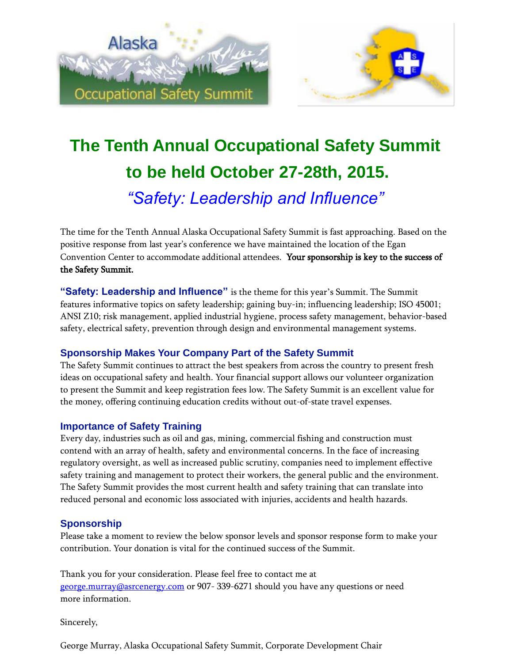

# **The Tenth Annual Occupational Safety Summit to be held October 27-28th, 2015.** *"Safety: Leadership and Influence"*

The time for the Tenth Annual Alaska Occupational Safety Summit is fast approaching. Based on the positive response from last year's conference we have maintained the location of the Egan Convention Center to accommodate additional attendees. Your sponsorship is key to the success of the Safety Summit.

**"Safety: Leadership and Influence"** is the theme for this year's Summit. The Summit features informative topics on safety leadership; gaining buy-in; influencing leadership; ISO 45001; ANSI Z10; risk management, applied industrial hygiene, process safety management, behavior-based safety, electrical safety, prevention through design and environmental management systems.

#### **Sponsorship Makes Your Company Part of the Safety Summit**

The Safety Summit continues to attract the best speakers from across the country to present fresh ideas on occupational safety and health. Your financial support allows our volunteer organization to present the Summit and keep registration fees low. The Safety Summit is an excellent value for the money, offering continuing education credits without out-of-state travel expenses.

#### **Importance of Safety Training**

Every day, industries such as oil and gas, mining, commercial fishing and construction must contend with an array of health, safety and environmental concerns. In the face of increasing regulatory oversight, as well as increased public scrutiny, companies need to implement effective safety training and management to protect their workers, the general public and the environment. The Safety Summit provides the most current health and safety training that can translate into reduced personal and economic loss associated with injuries, accidents and health hazards.

#### **Sponsorship**

Please take a moment to review the below sponsor levels and sponsor response form to make your contribution. Your donation is vital for the continued success of the Summit.

Thank you for your consideration. Please feel free to contact me at [george.murray@asrcenergy.com](mailto:george.murray@asrcenergy.com) or 907- 339-6271 should you have any questions or need more information.

Sincerely,

George Murray, Alaska Occupational Safety Summit, Corporate Development Chair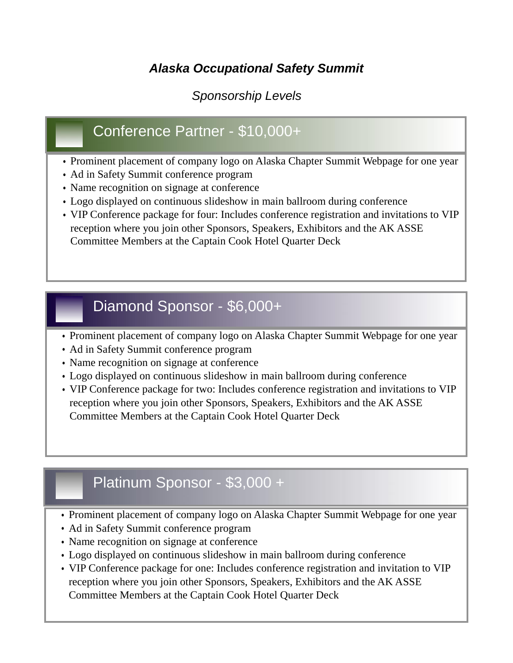### *Alaska Occupational Safety Summit*

#### *Sponsorship Levels*

# Conference Partner - \$10,000+

- Prominent placement of company logo on Alaska Chapter Summit Webpage for one year
- Ad in Safety Summit conference program
- Name recognition on signage at conference
- Logo displayed on continuous slideshow in main ballroom during conference
- VIP Conference package for four: Includes conference registration and invitations to VIP reception where you join other Sponsors, Speakers, Exhibitors and the AK ASSE Committee Members at the Captain Cook Hotel Quarter Deck

### Diamond Sponsor - \$6,000+

- Prominent placement of company logo on Alaska Chapter Summit Webpage for one year
- Ad in Safety Summit conference program
- Name recognition on signage at conference
- Logo displayed on continuous slideshow in main ballroom during conference
- VIP Conference package for two: Includes conference registration and invitations to VIP reception where you join other Sponsors, Speakers, Exhibitors and the AK ASSE Committee Members at the Captain Cook Hotel Quarter Deck

# Platinum Sponsor - \$3,000 +

- Prominent placement of company logo on Alaska Chapter Summit Webpage for one year
- Ad in Safety Summit conference program
- Name recognition on signage at conference
- Logo displayed on continuous slideshow in main ballroom during conference
- VIP Conference package for one: Includes conference registration and invitation to VIP reception where you join other Sponsors, Speakers, Exhibitors and the AK ASSE Committee Members at the Captain Cook Hotel Quarter Deck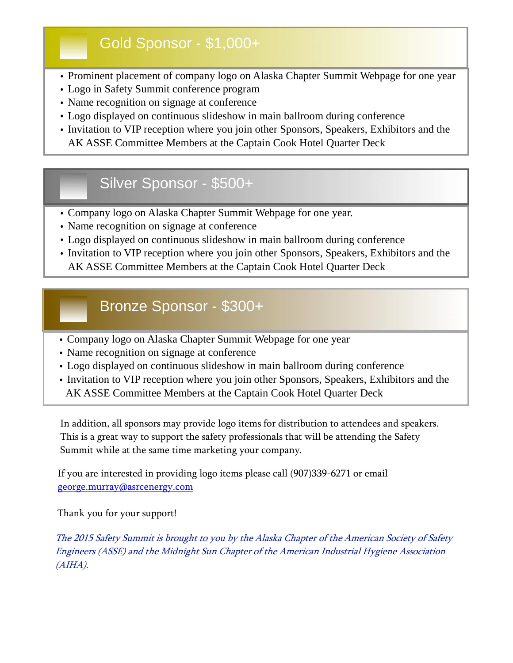# Gold Sponsor - \$1,000+

- Prominent placement of company logo on Alaska Chapter Summit Webpage for one year
- Logo in Safety Summit conference program
- Name recognition on signage at conference
- Logo displayed on continuous slideshow in main ballroom during conference
- Invitation to VIP reception where you join other Sponsors, Speakers, Exhibitors and the AK ASSE Committee Members at the Captain Cook Hotel Quarter Deck

# Silver Sponsor - \$500+

- Company logo on Alaska Chapter Summit Webpage for one year.
- Name recognition on signage at conference
- Logo displayed on continuous slideshow in main ballroom during conference
- Invitation to VIP reception where you join other Sponsors, Speakers, Exhibitors and the AK ASSE Committee Members at the Captain Cook Hotel Quarter Deck

## Bronze Sponsor - \$300+

- Company logo on Alaska Chapter Summit Webpage for one year
- Name recognition on signage at conference
- Logo displayed on continuous slideshow in main ballroom during conference
- Invitation to VIP reception where you join other Sponsors, Speakers, Exhibitors and the AK ASSE Committee Members at the Captain Cook Hotel Quarter Deck

In addition, all sponsors may provide logo items for distribution to attendees and speakers. This is a great way to support the safety professionals that will be attending the Safety Summit while at the same time marketing your company.

If you are interested in providing logo items please call (907)339-6271 or email [george.murray@asrcenergy.com](mailto:george.murray@asrcenergy.com)

Thank you for your support!

The 2015 Safety Summit is brought to you by the Alaska Chapter of the American Society of Safety Engineers (ASSE) and the Midnight Sun Chapter of the American Industrial Hygiene Association (AIHA).